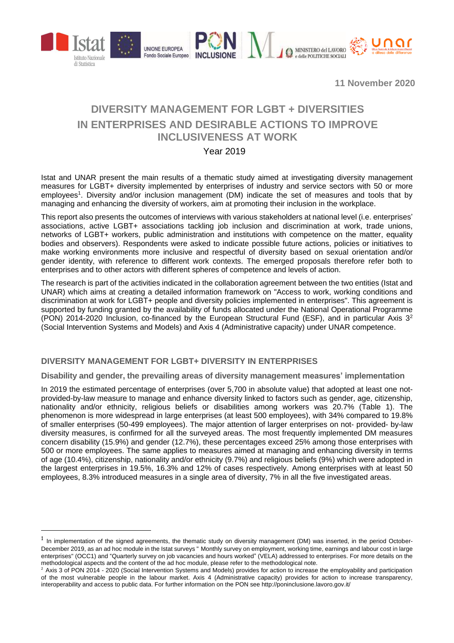

**11 November 2020**

# **DIVERSITY MANAGEMENT FOR LGBT + DIVERSITIES IN ENTERPRISES AND DESIRABLE ACTIONS TO IMPROVE INCLUSIVENESS AT WORK**

## Year 2019

Istat and UNAR present the main results of a thematic study aimed at investigating diversity management measures for LGBT+ diversity implemented by enterprises of industry and service sectors with 50 or more employees<sup>1</sup>. Diversity and/or inclusion management (DM) indicate the set of measures and tools that by managing and enhancing the diversity of workers, aim at promoting their inclusion in the workplace.

This report also presents the outcomes of interviews with various stakeholders at national level (i.e. enterprises' associations, active LGBT+ associations tackling job inclusion and discrimination at work, trade unions, networks of LGBT+ workers, public administration and institutions with competence on the matter, equality bodies and observers). Respondents were asked to indicate possible future actions, policies or initiatives to make working environments more inclusive and respectful of diversity based on sexual orientation and/or gender identity, with reference to different work contexts. The emerged proposals therefore refer both to enterprises and to other actors with different spheres of competence and levels of action.

The research is part of the activities indicated in the collaboration agreement between the two entities (Istat and UNAR) which aims at creating a detailed information framework on "Access to work, working conditions and discrimination at work for LGBT+ people and diversity policies implemented in enterprises". This agreement is supported by funding granted by the availability of funds allocated under the National Operational Programme (PON) 2014-2020 Inclusion, co-financed by the European Structural Fund (ESF), and in particular Axis  $3<sup>2</sup>$ (Social Intervention Systems and Models) and Axis 4 (Administrative capacity) under UNAR competence.

### **DIVERSITY MANAGEMENT FOR LGBT+ DIVERSITY IN ENTERPRISES**

1

**Disability and gender, the prevailing areas of diversity management measures' implementation**

In 2019 the estimated percentage of enterprises (over 5,700 in absolute value) that adopted at least one notprovided-by-law measure to manage and enhance diversity linked to factors such as gender, age, citizenship, nationality and/or ethnicity, religious beliefs or disabilities among workers was 20.7% (Table 1). The phenomenon is more widespread in large enterprises (at least 500 employees), with 34% compared to 19.8% of smaller enterprises (50-499 employees). The major attention of larger enterprises on not- provided- by-law diversity measures, is confirmed for all the surveyed areas. The most frequently implemented DM measures concern disability (15.9%) and gender (12.7%), these percentages exceed 25% among those enterprises with 500 or more employees. The same applies to measures aimed at managing and enhancing diversity in terms of age (10.4%), citizenship, nationality and/or ethnicity (9.7%) and religious beliefs (9%) which were adopted in the largest enterprises in 19.5%, 16.3% and 12% of cases respectively. Among enterprises with at least 50 employees, 8.3% introduced measures in a single area of diversity, 7% in all the five investigated areas.

<sup>&</sup>lt;sup>1</sup> In implementation of the signed agreements, the thematic study on diversity management (DM) was inserted, in the period October-December 2019, as an ad hoc module in the Istat surveys " Monthly survey on employment, working time, earnings and labour cost in large enterprises" (OCC1) and "Quarterly survey on job vacancies and hours worked" (VELA) addressed to enterprises. For more details on the methodological aspects and the content of the ad hoc module, please refer to the methodological note.

 $2$  Axis 3 of PON 2014 - 2020 (Social Intervention Systems and Models) provides for action to increase the employability and participation of the most vulnerable people in the labour market. Axis 4 (Administrative capacity) provides for action to increase transparency, interoperability and access to public data. For further information on the PON see http://poninclusione.lavoro.gov.it/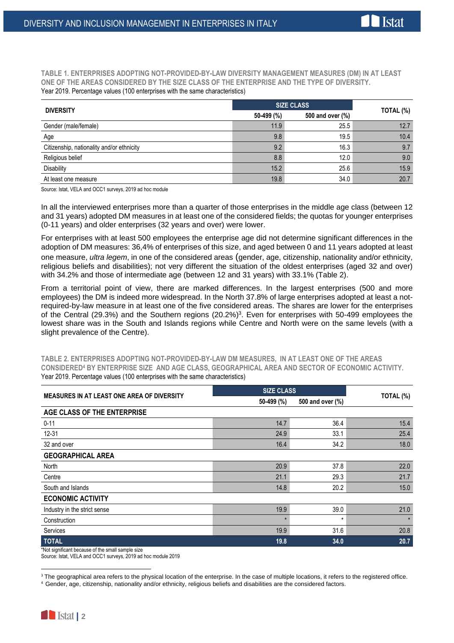**TABLE 1. ENTERPRISES ADOPTING NOT-PROVIDED-BY-LAW DIVERSITY MANAGEMENT MEASURES (DM) IN AT LEAST ONE OF THE AREAS CONSIDERED BY THE SIZE CLASS OF THE ENTERPRISE AND THE TYPE OF DIVERSITY.** Year 2019. Percentage values (100 enterprises with the same characteristics)

| <b>DIVERSITY</b>                          | <b>SIZE CLASS</b> |                  |           |
|-------------------------------------------|-------------------|------------------|-----------|
|                                           | 50-499 (%)        | 500 and over (%) | TOTAL (%) |
| Gender (male/female)                      | 11.9              | 25.5             | 12.7      |
| Age                                       | 9.8               | 19.5             | 10.4      |
| Citizenship, nationality and/or ethnicity | 9.2               | 16.3             | 9.7       |
| Religious belief                          | 8.8               | 12.0             | 9.0       |
| <b>Disability</b>                         | 15.2              | 25.6             | 15.9      |
| At least one measure                      | 19.8              | 34.0             | 20.7      |

Source: Istat, VELA and OCC1 surveys, 2019 ad hoc module

In all the interviewed enterprises more than a quarter of those enterprises in the middle age class (between 12 and 31 years) adopted DM measures in at least one of the considered fields; the quotas for younger enterprises (0-11 years) and older enterprises (32 years and over) were lower.

For enterprises with at least 500 employees the enterprise age did not determine significant differences in the adoption of DM measures: 36,4% of enterprises of this size, and aged between 0 and 11 years adopted at least one measure, *ultra legem*, in one of the considered areas (gender, age, citizenship, nationality and/or ethnicity, religious beliefs and disabilities); not very different the situation of the oldest enterprises (aged 32 and over) with 34.2% and those of intermediate age (between 12 and 31 years) with 33.1% (Table 2).

From a territorial point of view, there are marked differences. In the largest enterprises (500 and more employees) the DM is indeed more widespread. In the North 37.8% of large enterprises adopted at least a notrequired-by-law measure in at least one of the five considered areas. The shares are lower for the enterprises of the Central (29.3%) and the Southern regions (20.2%)<sup>3</sup>. Even for enterprises with 50-499 employees the lowest share was in the South and Islands regions while Centre and North were on the same levels (with a slight prevalence of the Centre).

**TABLE 2. ENTERPRISES ADOPTING NOT-PROVIDED-BY-LAW DM MEASURES, IN AT LEAST ONE OF THE AREAS CONSIDERED<sup>4</sup> BY ENTERPRISE SIZE AND AGE CLASS, GEOGRAPHICAL AREA AND SECTOR OF ECONOMIC ACTIVITY.** Year 2019. Percentage values (100 enterprises with the same characteristics)

| <b>MEASURES IN AT LEAST ONE AREA OF DIVERSITY</b> | <b>SIZE CLASS</b> |                  | TOTAL (%) |
|---------------------------------------------------|-------------------|------------------|-----------|
|                                                   | 50-499 (%)        | 500 and over (%) |           |
| AGE CLASS OF THE ENTERPRISE                       |                   |                  |           |
| $0 - 11$                                          | 14.7              | 36.4             | 15.4      |
| $12 - 31$                                         | 24.9              | 33.1             | 25.4      |
| 32 and over                                       | 16.4              | 34.2             | 18.0      |
| <b>GEOGRAPHICAL AREA</b>                          |                   |                  |           |
| North                                             | 20.9              | 37.8             | 22.0      |
| Centre                                            | 21.1              | 29.3             | 21.7      |
| South and Islands                                 | 14.8              | 20.2             | 15.0      |
| <b>ECONOMIC ACTIVITY</b>                          |                   |                  |           |
| Industry in the strict sense                      | 19.9              | 39.0             | 21.0      |
| Construction                                      |                   | $\star$          |           |
| Services                                          | 19.9              | 31.6             | 20.8      |
| <b>TOTAL</b>                                      | 19.8              | 34.0             | 20.7      |

\*Not significant because of the small sample size

Source: Istat, VELA and OCC1 surveys, 2019 ad hoc module 2019

1

<sup>&</sup>lt;sup>3</sup> The geographical area refers to the physical location of the enterprise. In the case of multiple locations, it refers to the registered office.

<sup>4</sup> Gender, age, citizenship, nationality and/or ethnicity, religious beliefs and disabilities are the considered factors.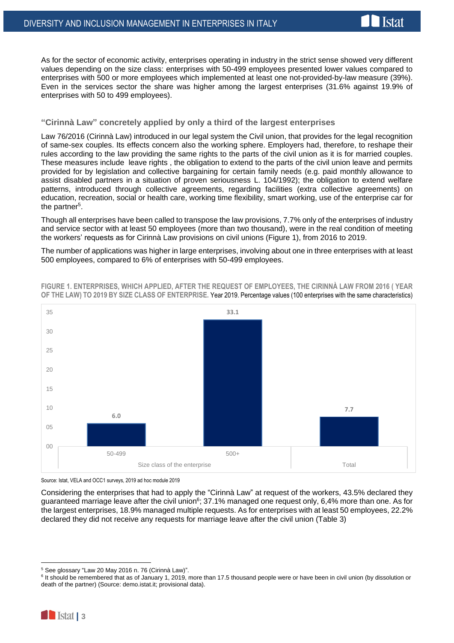

As for the sector of economic activity, enterprises operating in industry in the strict sense showed very different values depending on the size class: enterprises with 50-499 employees presented lower values compared to enterprises with 500 or more employees which implemented at least one not-provided-by-law measure (39%). Even in the services sector the share was higher among the largest enterprises (31.6% against 19.9% of enterprises with 50 to 499 employees).

#### **"Cirinnà Law" concretely applied by only a third of the largest enterprises**

Law 76/2016 (Cirinnà Law) introduced in our legal system the Civil union, that provides for the legal recognition of same-sex couples. Its effects concern also the working sphere. Employers had, therefore, to reshape their rules according to the law providing the same rights to the parts of the civil union as it is for married couples. These measures include leave rights , the obligation to extend to the parts of the civil union leave and permits provided for by legislation and collective bargaining for certain family needs (e.g. paid monthly allowance to assist disabled partners in a situation of proven seriousness L. 104/1992); the obligation to extend welfare patterns, introduced through collective agreements, regarding facilities (extra collective agreements) on education, recreation, social or health care, working time flexibility, smart working, use of the enterprise car for the partner<sup>5</sup>.

Though all enterprises have been called to transpose the law provisions, 7.7% only of the enterprises of industry and service sector with at least 50 employees (more than two thousand), were in the real condition of meeting the workers' requests as for Cirinnà Law provisions on civil unions (Figure 1), from 2016 to 2019.

The number of applications was higher in large enterprises, involving about one in three enterprises with at least 500 employees, compared to 6% of enterprises with 50-499 employees.



**FIGURE 1. ENTERPRISES, WHICH APPLIED, AFTER THE REQUEST OF EMPLOYEES, THE CIRINNÀ LAW FROM 2016 ( YEAR OF THE LAW) TO 2019 BY SIZE CLASS OF ENTERPRISE.** Year 2019. Percentage values (100 enterprises with the same characteristics)

Considering the enterprises that had to apply the "Cirinnà Law" at request of the workers, 43.5% declared they guaranteed marriage leave after the civil union<sup>6</sup>; 37.1% managed one request only, 6,4% more than one. As for the largest enterprises, 18.9% managed multiple requests. As for enterprises with at least 50 employees, 22.2% declared they did not receive any requests for marriage leave after the civil union (Table 3)

1

Source: Istat, VELA and OCC1 surveys, 2019 ad hoc module 2019

<sup>5</sup> See glossary "Law 20 May 2016 n. 76 (Cirinnà Law)".

<sup>&</sup>lt;sup>6</sup> It should be remembered that as of January 1, 2019, more than 17.5 thousand people were or have been in civil union (by dissolution or death of the partner) (Source: demo.istat.it; provisional data).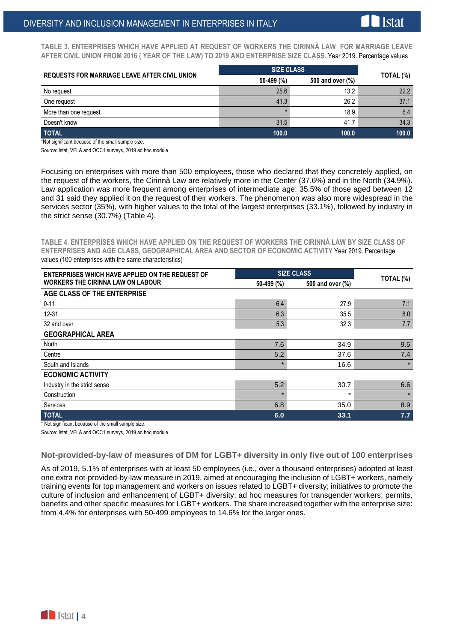**TABLE 3. ENTERPRISES WHICH HAVE APPLIED AT REQUEST OF WORKERS THE CIRINNÀ LAW FOR MARRIAGE LEAVE AFTER CIVIL UNION FROM 2016 ( YEAR OF THE LAW) TO 2019 AND ENTERPRISE SIZE CLASS.** Year 2019. Percentage values

| <b>REQUESTS FOR MARRIAGE LEAVE AFTER CIVIL UNION</b> | <b>SIZE CLASS</b> |                  |           |
|------------------------------------------------------|-------------------|------------------|-----------|
|                                                      | 50-499 (%)        | 500 and over (%) | TOTAL (%) |
| No request                                           | 25.6              | 13.2             | 22.2      |
| One request                                          | 41.3              | 26.2             | 37.1      |
| More than one request                                |                   | 18.9             | 6.4       |
| Doesn't know                                         | 31.5              | 41.7             | 34.3      |
| <b>TOTAL</b>                                         | 100.0             | 100.0            | 100.0     |

\*Not significant because of the small sample size.

Source: Istat, VELA and OCC1 surveys, 2019 ad hoc module

Focusing on enterprises with more than 500 employees, those who declared that they concretely applied, on the request of the workers, the Cirinnà Law are relatively more in the Center (37.6%) and in the North (34.9%). Law application was more frequent among enterprises of intermediate age: 35.5% of those aged between 12 and 31 said they applied it on the request of their workers. The phenomenon was also more widespread in the services sector (35%), with higher values to the total of the largest enterprises (33.1%), followed by industry in the strict sense (30.7%) (Table 4).

**TABLE 4. ENTERPRISES WHICH HAVE APPLIED ON THE REQUEST OF WORKERS THE CIRINNÀ LAW BY SIZE CLASS OF ENTERPRISES AND AGE CLASS, GEOGRAPHICAL AREA AND SECTOR OF ECONOMIC ACTIVITY** Year 2019. Percentage values (100 enterprises with the same characteristics)

| <b>ENTERPRISES WHICH HAVE APPLIED ON THE REQUEST OF</b> |            | <b>SIZE CLASS</b> |           |  |  |
|---------------------------------------------------------|------------|-------------------|-----------|--|--|
| <b>WORKERS THE CIRINNA LAW ON LABOUR</b>                | 50-499 (%) | 500 and over (%)  | TOTAL (%) |  |  |
| AGE CLASS OF THE ENTERPRISE                             |            |                   |           |  |  |
| $0 - 11$                                                | 6.4        | 27.9              | 7.1       |  |  |
| $12 - 31$                                               | 6.3        | 35.5              | 8.0       |  |  |
| 32 and over                                             | 5.3        | 32.3              | 7.7       |  |  |
| <b>GEOGRAPHICAL AREA</b>                                |            |                   |           |  |  |
| North                                                   | 7.6        | 34.9              | 9.5       |  |  |
| Centre                                                  | 5.2        | 37.6              | 7.4       |  |  |
| South and Islands                                       | $\star$    | 16.6              |           |  |  |
| <b>ECONOMIC ACTIVITY</b>                                |            |                   |           |  |  |
| Industry in the strict sense                            | 5.2        | 30.7              | 6.6       |  |  |
| Construction                                            | $\star$    | $\star$           |           |  |  |
| Services                                                | 6.8        | 35.0              | 8.9       |  |  |
| <b>TOTAL</b>                                            | 6.0        | 33.1              | 7.7       |  |  |

\* Not significant because of the small sample size.

Source: Istat, VELA and OCC1 surveys, 2019 ad hoc module

#### **Not-provided-by-law of measures of DM for LGBT+ diversity in only five out of 100 enterprises**

As of 2019, 5.1% of enterprises with at least 50 employees (i.e., over a thousand enterprises) adopted at least one extra not-provided-by-law measure in 2019, aimed at encouraging the inclusion of LGBT+ workers, namely training events for top management and workers on issues related to LGBT+ diversity; initiatives to promote the culture of inclusion and enhancement of LGBT+ diversity; ad hoc measures for transgender workers; permits, benefits and other specific measures for LGBT+ workers. The share increased together with the enterprise size: from 4.4% for enterprises with 50-499 employees to 14.6% for the larger ones.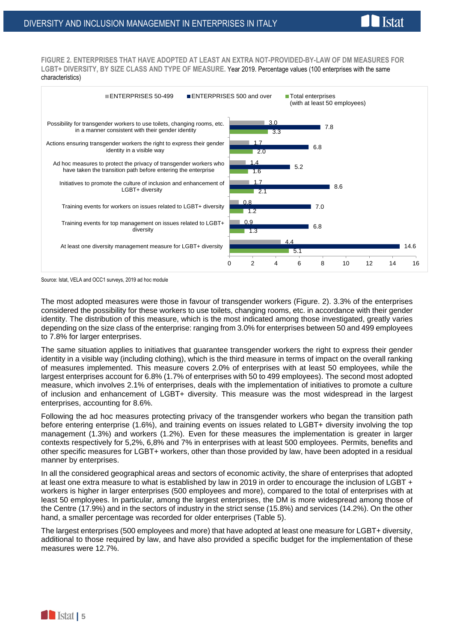**FIGURE 2. ENTERPRISES THAT HAVE ADOPTED AT LEAST AN EXTRA NOT-PROVIDED-BY-LAW OF DM MEASURES FOR LGBT+ DIVERSITY, BY SIZE CLASS AND TYPE OF MEASURE.** Year 2019. Percentage values (100 enterprises with the same characteristics)

**Istat** 



Source: Istat, VELA and OCC1 surveys, 2019 ad hoc module

The most adopted measures were those in favour of transgender workers (Figure. 2). 3.3% of the enterprises considered the possibility for these workers to use toilets, changing rooms, etc. in accordance with their gender identity. The distribution of this measure, which is the most indicated among those investigated, greatly varies depending on the size class of the enterprise: ranging from 3.0% for enterprises between 50 and 499 employees to 7.8% for larger enterprises.

The same situation applies to initiatives that guarantee transgender workers the right to express their gender identity in a visible way (including clothing), which is the third measure in terms of impact on the overall ranking of measures implemented. This measure covers 2.0% of enterprises with at least 50 employees, while the largest enterprises account for 6.8% (1.7% of enterprises with 50 to 499 employees). The second most adopted measure, which involves 2.1% of enterprises, deals with the implementation of initiatives to promote a culture of inclusion and enhancement of LGBT+ diversity. This measure was the most widespread in the largest enterprises, accounting for 8.6%.

Following the ad hoc measures protecting privacy of the transgender workers who began the transition path before entering enterprise (1.6%), and training events on issues related to LGBT+ diversity involving the top management (1.3%) and workers (1.2%). Even for these measures the implementation is greater in larger contexts respectively for 5,2%, 6,8% and 7% in enterprises with at least 500 employees. Permits, benefits and other specific measures for LGBT+ workers, other than those provided by law, have been adopted in a residual manner by enterprises.

In all the considered geographical areas and sectors of economic activity, the share of enterprises that adopted at least one extra measure to what is established by law in 2019 in order to encourage the inclusion of LGBT + workers is higher in larger enterprises (500 employees and more), compared to the total of enterprises with at least 50 employees. In particular, among the largest enterprises, the DM is more widespread among those of the Centre (17.9%) and in the sectors of industry in the strict sense (15.8%) and services (14.2%). On the other hand, a smaller percentage was recorded for older enterprises (Table 5).

The largest enterprises (500 employees and more) that have adopted at least one measure for LGBT+ diversity, additional to those required by law, and have also provided a specific budget for the implementation of these measures were 12.7%.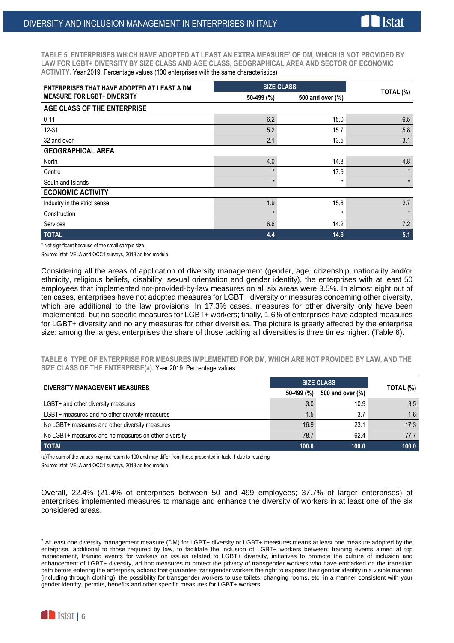**Tstat** 

| ENTERPRISES THAT HAVE ADOPTED AT LEAST A DM |              | <b>SIZE CLASS</b> |           |  |
|---------------------------------------------|--------------|-------------------|-----------|--|
| <b>MEASURE FOR LGBT+ DIVERSITY</b>          | 50-499 (%)   | 500 and over (%)  | TOTAL (%) |  |
| AGE CLASS OF THE ENTERPRISE                 |              |                   |           |  |
| $0 - 11$                                    | 6.2          | 15.0              | 6.5       |  |
| $12 - 31$                                   | 5.2          | 15.7              | 5.8       |  |
| 32 and over                                 | 2.1          | 13.5              | 3.1       |  |
| <b>GEOGRAPHICAL AREA</b>                    |              |                   |           |  |
| North                                       | 4.0          | 14.8              | 4.8       |  |
| Centre                                      | $\star$      | 17.9              | $\star$   |  |
| South and Islands                           | $\star$      | $\star$           | $\star$   |  |
| <b>ECONOMIC ACTIVITY</b>                    |              |                   |           |  |
| Industry in the strict sense                | 1.9          | 15.8              | 2.7       |  |
| Construction                                | $\mathbf{A}$ | $\star$           | $\star$   |  |
| Services                                    | 6.6          | 14.2              | 7.2       |  |
| <b>TOTAL</b>                                | 4.4          | 14.6              | 5.1       |  |

\* Not significant because of the small sample size.

Source: Istat, VELA and OCC1 surveys, 2019 ad hoc module

Considering all the areas of application of diversity management (gender, age, citizenship, nationality and/or ethnicity, religious beliefs, disability, sexual orientation and gender identity), the enterprises with at least 50 employees that implemented not-provided-by-law measures on all six areas were 3.5%. In almost eight out of ten cases, enterprises have not adopted measures for LGBT+ diversity or measures concerning other diversity, which are additional to the law provisions. In 17.3% cases, measures for other diversity only have been implemented, but no specific measures for LGBT+ workers; finally, 1.6% of enterprises have adopted measures for LGBT+ diversity and no any measures for other diversities. The picture is greatly affected by the enterprise size: among the largest enterprises the share of those tackling all diversities is three times higher. (Table 6).

**TABLE 6. TYPE OF ENTERPRISE FOR MEASURES IMPLEMENTED FOR DM, WHICH ARE NOT PROVIDED BY LAW, AND THE SIZE CLASS OF THE ENTERPRISE(a).** Year 2019. Percentage values

| <b>DIVERSITY MANAGEMENT MEASURES</b>                 | <b>SIZE CLASS</b> | TOTAL (%)        |       |
|------------------------------------------------------|-------------------|------------------|-------|
|                                                      | 50-499 (%)        | 500 and over (%) |       |
| LGBT+ and other diversity measures                   | 3.0               | 10.9             | 3.5   |
| LGBT+ measures and no other diversity measures       | 1.5               | 3.7              | 1.6   |
| No LGBT+ measures and other diversity measures       | 16.9              | 23.1             | 17.3  |
| No LGBT+ measures and no measures on other diversity | 78.7              | 62.4             | 77.7  |
| <b>TOTAL</b>                                         | 100.0             | 100.0            | 100.0 |

(a)The sum of the values may not return to 100 and may differ from those presented in table 1 due to rounding

Source: Istat, VELA and OCC1 surveys, 2019 ad hoc module

Overall, 22.4% (21.4% of enterprises between 50 and 499 employees; 37.7% of larger enterprises) of enterprises implemented measures to manage and enhance the diversity of workers in at least one of the six considered areas.

 $7$  At least one diversity management measure (DM) for LGBT+ diversity or LGBT+ measures means at least one measure adopted by the enterprise, additional to those required by law, to facilitate the inclusion of LGBT+ workers between: training events aimed at top management, training events for workers on issues related to LGBT+ diversity, initiatives to promote the culture of inclusion and enhancement of LGBT+ diversity, ad hoc measures to protect the privacy of transgender workers who have embarked on the transition path before entering the enterprise, actions that guarantee transgender workers the right to express their gender identity in a visible manner (including through clothing), the possibility for transgender workers to use toilets, changing rooms, etc. in a manner consistent with your gender identity, permits, benefits and other specific measures for LGBT+ workers.



1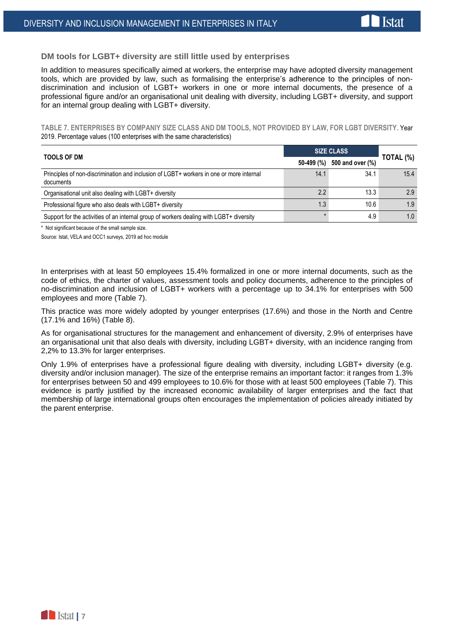#### **DM tools for LGBT+ diversity are still little used by enterprises**

In addition to measures specifically aimed at workers, the enterprise may have adopted diversity management tools, which are provided by law, such as formalising the enterprise's adherence to the principles of nondiscrimination and inclusion of LGBT+ workers in one or more internal documents, the presence of a professional figure and/or an organisational unit dealing with diversity, including LGBT+ diversity, and support for an internal group dealing with LGBT+ diversity.

**TABLE 7. ENTERPRISES BY COMPANIY SIZE CLASS AND DM TOOLS, NOT PROVIDED BY LAW, FOR LGBT DIVERSITY.** Year 2019. Percentage values (100 enterprises with the same characteristics)

| <b>TOOLS OF DM</b>                                                                                   | <b>SIZE CLASS</b> |                  |           |
|------------------------------------------------------------------------------------------------------|-------------------|------------------|-----------|
|                                                                                                      | 50-499 (%)        | 500 and over (%) | TOTAL (%) |
| Principles of non-discrimination and inclusion of LGBT+ workers in one or more internal<br>documents | 14.1              | 34.1             | 15.4      |
| Organisational unit also dealing with LGBT+ diversity                                                | 2.2               | 13.3             | 2.9       |
| Professional figure who also deals with LGBT+ diversity                                              | 1.3               | 10.6             | 1.9       |
| Support for the activities of an internal group of workers dealing with LGBT+ diversity              |                   | 4.9              | 1.0       |

\* Not significant because of the small sample size.

Source: Istat, VELA and OCC1 surveys, 2019 ad hoc module

In enterprises with at least 50 employees 15.4% formalized in one or more internal documents, such as the code of ethics, the charter of values, assessment tools and policy documents, adherence to the principles of no-discrimination and inclusion of LGBT+ workers with a percentage up to 34.1% for enterprises with 500 employees and more (Table 7).

This practice was more widely adopted by younger enterprises (17.6%) and those in the North and Centre (17.1% and 16%) (Table 8).

As for organisational structures for the management and enhancement of diversity, 2.9% of enterprises have an organisational unit that also deals with diversity, including LGBT+ diversity, with an incidence ranging from 2,2% to 13.3% for larger enterprises.

Only 1.9% of enterprises have a professional figure dealing with diversity, including LGBT+ diversity (e.g. diversity and/or inclusion manager). The size of the enterprise remains an important factor: it ranges from 1.3% for enterprises between 50 and 499 employees to 10.6% for those with at least 500 employees (Table 7). This evidence is partly justified by the increased economic availability of larger enterprises and the fact that membership of large international groups often encourages the implementation of policies already initiated by the parent enterprise.

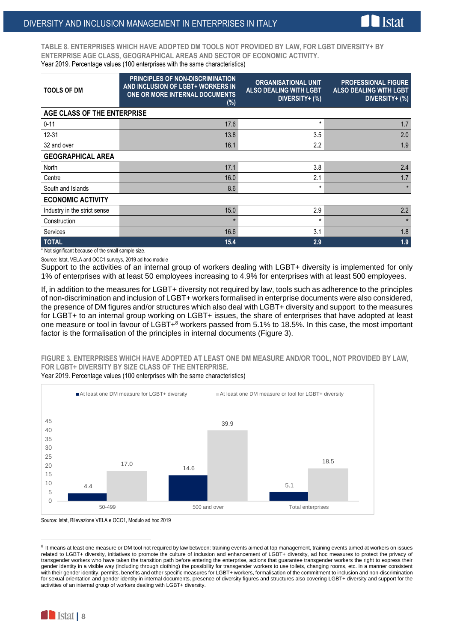

**TABLE 8. ENTERPRISES WHICH HAVE ADOPTED DM TOOLS NOT PROVIDED BY LAW, FOR LGBT DIVERSITY+ BY ENTERPRISE AGE CLASS, GEOGRAPHICAL AREAS AND SECTOR OF ECONOMIC ACTIVITY.** Year 2019. Percentage values (100 enterprises with the same characteristics)

| <b>TOOLS OF DM</b>           | <b>PRINCIPLES OF NON-DISCRIMINATION</b><br>AND INCLUSION OF LGBT+ WORKERS IN<br><b>ONE OR MORE INTERNAL DOCUMENTS</b><br>$(\%)$ | <b>ORGANISATIONAL UNIT</b><br><b>ALSO DEALING WITH LGBT</b><br>DIVERSITY+ (%) | <b>PROFESSIONAL FIGURE</b><br><b>ALSO DEALING WITH LGBT</b><br>DIVERSITY+ (%) |
|------------------------------|---------------------------------------------------------------------------------------------------------------------------------|-------------------------------------------------------------------------------|-------------------------------------------------------------------------------|
| AGE CLASS OF THE ENTERPRISE  |                                                                                                                                 |                                                                               |                                                                               |
| $0 - 11$                     | 17.6                                                                                                                            | $^\star$                                                                      | 1.7                                                                           |
| $12 - 31$                    | 13.8                                                                                                                            | 3.5                                                                           | 2.0                                                                           |
| 32 and over                  | 16.1                                                                                                                            | 2.2                                                                           | 1.9                                                                           |
| <b>GEOGRAPHICAL AREA</b>     |                                                                                                                                 |                                                                               |                                                                               |
| North                        | 17.1                                                                                                                            | 3.8                                                                           | 2.4                                                                           |
| Centre                       | 16.0                                                                                                                            | 2.1                                                                           | 1.7                                                                           |
| South and Islands            | 8.6                                                                                                                             | $\star$                                                                       | $\star$                                                                       |
| <b>ECONOMIC ACTIVITY</b>     |                                                                                                                                 |                                                                               |                                                                               |
| Industry in the strict sense | 15.0                                                                                                                            | 2.9                                                                           | 2.2                                                                           |
| Construction                 | $\star$                                                                                                                         | $\ast$                                                                        | $\star$                                                                       |
| Services                     | 16.6                                                                                                                            | 3.1                                                                           | 1.8                                                                           |
| <b>TOTAL</b>                 | 15.4                                                                                                                            | 2.9                                                                           | 1.9                                                                           |

\* Not significant because of the small sample size.

Source: Istat, VELA and OCC1 surveys, 2019 ad hoc module

Support to the activities of an internal group of workers dealing with LGBT+ diversity is implemented for only 1% of enterprises with at least 50 employees increasing to 4.9% for enterprises with at least 500 employees.

If, in addition to the measures for LGBT+ diversity not required by law, tools such as adherence to the principles of non-discrimination and inclusion of LGBT+ workers formalised in enterprise documents were also considered, the presence of DM figures and/or structures which also deal with LGBT+ diversity and support to the measures for LGBT+ to an internal group working on LGBT+ issues, the share of enterprises that have adopted at least one measure or tool in favour of LGBT+<sup>8</sup> workers passed from 5.1% to 18.5%. In this case, the most important factor is the formalisation of the principles in internal documents (Figure 3).

**FIGURE 3. ENTERPRISES WHICH HAVE ADOPTED AT LEAST ONE DM MEASURE AND/OR TOOL, NOT PROVIDED BY LAW, FOR LGBT+ DIVERSITY BY SIZE CLASS OF THE ENTERPRISE.**

Year 2019. Percentage values (100 enterprises with the same characteristics)



Source: Istat, Rilevazione VELA e OCC1, Modulo ad hoc 2019

 8 It means at least one measure or DM tool not required by law between: training events aimed at top management, training events aimed at workers on issues related to LGBT+ diversity, initiatives to promote the culture of inclusion and enhancement of LGBT+ diversity, ad hoc measures to protect the privacy of transgender workers who have taken the transition path before entering the enterprise, actions that guarantee transgender workers the right to express their gender identity in a visible way (including through clothing) the possibility for transgender workers to use toilets, changing rooms, etc. in a manner consistent with their gender identity, permits, benefits and other specific measures for LGBT+ workers, formalisation of the commitment to inclusion and non-discrimination for sexual orientation and gender identity in internal documents, presence of diversity figures and structures also covering LGBT+ diversity and support for the activities of an internal group of workers dealing with LGBT+ diversity.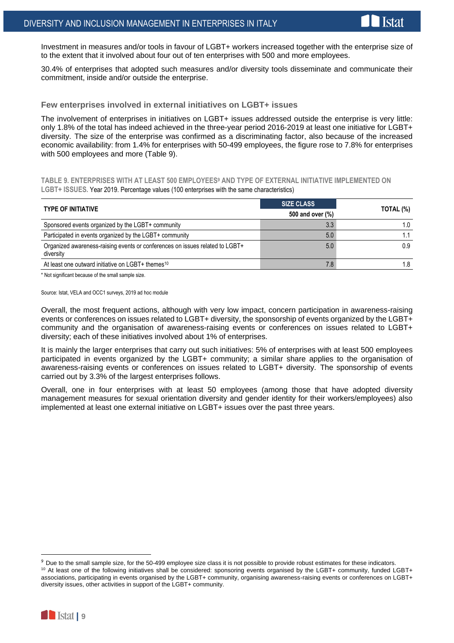Investment in measures and/or tools in favour of LGBT+ workers increased together with the enterprise size of to the extent that it involved about four out of ten enterprises with 500 and more employees.

30.4% of enterprises that adopted such measures and/or diversity tools disseminate and communicate their commitment, inside and/or outside the enterprise.

#### **Few enterprises involved in external initiatives on LGBT+ issues**

The involvement of enterprises in initiatives on LGBT+ issues addressed outside the enterprise is very little: only 1.8% of the total has indeed achieved in the three-year period 2016-2019 at least one initiative for LGBT+ diversity. The size of the enterprise was confirmed as a discriminating factor, also because of the increased economic availability: from 1.4% for enterprises with 50-499 employees, the figure rose to 7.8% for enterprises with 500 employees and more (Table 9).

**TABLE 9. ENTERPRISES WITH AT LEAST 500 EMPLOYEES<sup>9</sup> AND TYPE OF EXTERNAL INITIATIVE IMPLEMENTED ON LGBT+ ISSUES.** Year 2019. Percentage values (100 enterprises with the same characteristics)

| <b>TYPE OF INITIATIVE</b>                                                                 | <b>SIZE CLASS</b> |           |  |
|-------------------------------------------------------------------------------------------|-------------------|-----------|--|
|                                                                                           | 500 and over (%)  | TOTAL (%) |  |
| Sponsored events organized by the LGBT+ community                                         | 3.3               | 1.0       |  |
| Participated in events organized by the LGBT+ community                                   | 5.0               |           |  |
| Organized awareness-raising events or conferences on issues related to LGBT+<br>diversity | 5.0               | 0.9       |  |
| At least one outward initiative on LGBT+ themes <sup>10</sup>                             | 7.8               | 1.8       |  |

\* Not significant because of the small sample size.

Source: Istat, VELA and OCC1 surveys, 2019 ad hoc module

Overall, the most frequent actions, although with very low impact, concern participation in awareness-raising events or conferences on issues related to LGBT+ diversity, the sponsorship of events organized by the LGBT+ community and the organisation of awareness-raising events or conferences on issues related to LGBT+ diversity; each of these initiatives involved about 1% of enterprises.

It is mainly the larger enterprises that carry out such initiatives: 5% of enterprises with at least 500 employees participated in events organized by the LGBT+ community; a similar share applies to the organisation of awareness-raising events or conferences on issues related to LGBT+ diversity. The sponsorship of events carried out by 3.3% of the largest enterprises follows.

Overall, one in four enterprises with at least 50 employees (among those that have adopted diversity management measures for sexual orientation diversity and gender identity for their workers/employees) also implemented at least one external initiative on LGBT+ issues over the past three years.

associations, participating in events organised by the LGBT+ community, organising awareness-raising events or conferences on LGBT+ diversity issues, other activities in support of the LGBT+ community.



1

<sup>&</sup>lt;sup>9</sup> Due to the small sample size, for the 50-499 employee size class it is not possible to provide robust estimates for these indicators. <sup>10</sup> At least one of the following initiatives shall be considered: sponsoring events organised by the LGBT+ community, funded LGBT+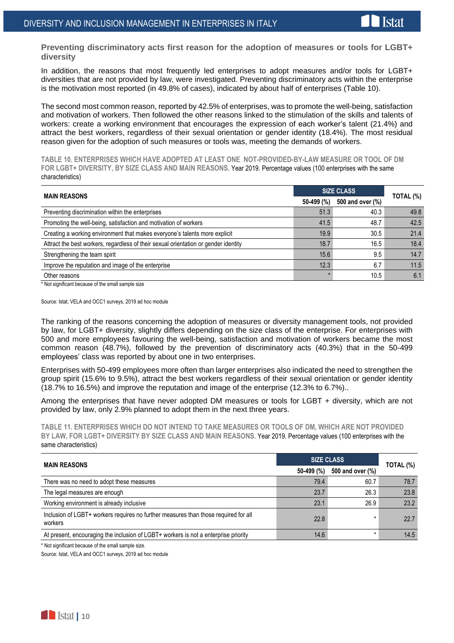**Preventing discriminatory acts first reason for the adoption of measures or tools for LGBT+ diversity**

In addition, the reasons that most frequently led enterprises to adopt measures and/or tools for LGBT+ diversities that are not provided by law, were investigated. Preventing discriminatory acts within the enterprise is the motivation most reported (in 49.8% of cases), indicated by about half of enterprises (Table 10).

The second most common reason, reported by 42.5% of enterprises, was to promote the well-being, satisfaction and motivation of workers. Then followed the other reasons linked to the stimulation of the skills and talents of workers: create a working environment that encourages the expression of each worker's talent (21.4%) and attract the best workers, regardless of their sexual orientation or gender identity (18.4%). The most residual reason given for the adoption of such measures or tools was, meeting the demands of workers.

**TABLE 10. ENTERPRISES WHICH HAVE ADOPTED AT LEAST ONE NOT-PROVIDED-BY-LAW MEASURE OR TOOL OF DM FOR LGBT+ DIVERSITY, BY SIZE CLASS AND MAIN REASONS.** Year 2019. Percentage values (100 enterprises with the same characteristics)

| <b>MAIN REASONS</b>                                                                 | <b>SIZE CLASS</b> |                  |           |
|-------------------------------------------------------------------------------------|-------------------|------------------|-----------|
|                                                                                     | 50-499 (%)        | 500 and over (%) | TOTAL (%) |
| Preventing discrimination within the enterprises                                    | 51.3              | 40.3             | 49.8      |
| Promoting the well-being, satisfaction and motivation of workers                    | 41.5              | 48.7             | 42.5      |
| Creating a working environment that makes everyone's talents more explicit          | 19.9              | 30.5             | 21.4      |
| Attract the best workers, regardless of their sexual orientation or gender identity | 18.7              | 16.5             | 18.4      |
| Strengthening the team spirit                                                       | 15.6              | 9.5              | 14.7      |
| Improve the reputation and image of the enterprise                                  | 12.3              | 6.7              | 11.5      |
| Other reasons                                                                       |                   | 10.5             | 6.1       |

\* Not significant because of the small sample size

Source: Istat, VELA and OCC1 surveys, 2019 ad hoc module

The ranking of the reasons concerning the adoption of measures or diversity management tools, not provided by law, for LGBT+ diversity, slightly differs depending on the size class of the enterprise. For enterprises with 500 and more employees favouring the well-being, satisfaction and motivation of workers became the most common reason (48.7%), followed by the prevention of discriminatory acts (40.3%) that in the 50-499 employees' class was reported by about one in two enterprises.

Enterprises with 50-499 employees more often than larger enterprises also indicated the need to strengthen the group spirit (15.6% to 9.5%), attract the best workers regardless of their sexual orientation or gender identity (18.7% to 16.5%) and improve the reputation and image of the enterprise (12.3% to 6.7%)..

Among the enterprises that have never adopted DM measures or tools for LGBT + diversity, which are not provided by law, only 2.9% planned to adopt them in the next three years.

**TABLE 11. ENTERPRISES WHICH DO NOT INTEND TO TAKE MEASURES OR TOOLS OF DM, WHICH ARE NOT PROVIDED BY LAW, FOR LGBT+ DIVERSITY BY SIZE CLASS AND MAIN REASONS.** Year 2019. Percentage values (100 enterprises with the same characteristics)

| <b>MAIN REASONS</b>                                                                            | <b>SIZE CLASS</b> |                  | TOTAL (%) |
|------------------------------------------------------------------------------------------------|-------------------|------------------|-----------|
|                                                                                                | 50-499 (%)        | 500 and over (%) |           |
| There was no need to adopt these measures                                                      | 79.4              | 60.7             | 78.7      |
| The legal measures are enough                                                                  | 23.7              | 26.3             | 23.8      |
| Working environment is already inclusive                                                       | 23.1              | 26.9             | 23.2      |
| Inclusion of LGBT+ workers requires no further measures than those required for all<br>workers | 22.8              | *                | 22.7      |
| At present, encouraging the inclusion of LGBT+ workers is not a enterprise priority            | 14.6              | $\star$          | 14.5      |

\* Not significant because of the small sample size.

Source: Istat, VELA and OCC1 surveys, 2019 ad hoc module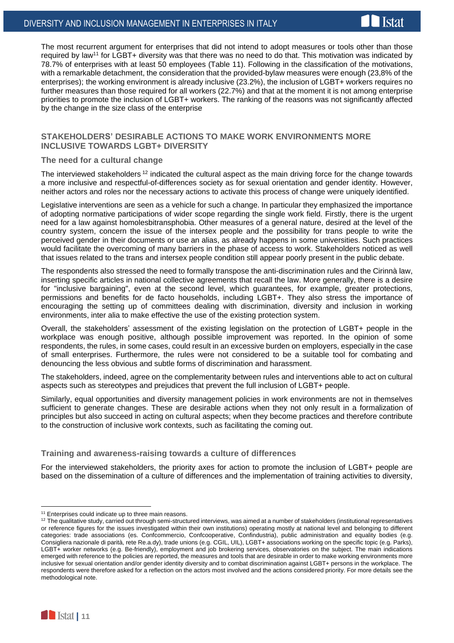The most recurrent argument for enterprises that did not intend to adopt measures or tools other than those required by law<sup>11</sup> for LGBT+ diversity was that there was no need to do that. This motivation was indicated by 78.7% of enterprises with at least 50 employees (Table 11). Following in the classification of the motivations, with a remarkable detachment, the consideration that the provided-bylaw measures were enough (23,8% of the enterprises); the working environment is already inclusive (23.2%), the inclusion of LGBT+ workers requires no further measures than those required for all workers (22.7%) and that at the moment it is not among enterprise priorities to promote the inclusion of LGBT+ workers. The ranking of the reasons was not significantly affected by the change in the size class of the enterprise

#### **STAKEHOLDERS' DESIRABLE ACTIONS TO MAKE WORK ENVIRONMENTS MORE INCLUSIVE TOWARDS LGBT+ DIVERSITY**

#### **The need for a cultural change**

The interviewed stakeholders<sup>12</sup> indicated the cultural aspect as the main driving force for the change towards a more inclusive and respectful-of-differences society as for sexual orientation and gender identity. However, neither actors and roles nor the necessary actions to activate this process of change were uniquely identified.

Legislative interventions are seen as a vehicle for such a change. In particular they emphasized the importance of adopting normative participations of wider scope regarding the single work field. Firstly, there is the urgent need for a law against homolesbitransphobia. Other measures of a general nature, desired at the level of the country system, concern the issue of the intersex people and the possibility for trans people to write the perceived gender in their documents or use an alias, as already happens in some universities. Such practices would facilitate the overcoming of many barriers in the phase of access to work. Stakeholders noticed as well that issues related to the trans and intersex people condition still appear poorly present in the public debate.

The respondents also stressed the need to formally transpose the anti-discrimination rules and the Cirinnà law, inserting specific articles in national collective agreements that recall the law. More generally, there is a desire for "inclusive bargaining", even at the second level, which guarantees, for example, greater protections, permissions and benefits for de facto households, including LGBT+. They also stress the importance of encouraging the setting up of committees dealing with discrimination, diversity and inclusion in working environments, inter alia to make effective the use of the existing protection system.

Overall, the stakeholders' assessment of the existing legislation on the protection of LGBT+ people in the workplace was enough positive, although possible improvement was reported. In the opinion of some respondents, the rules, in some cases, could result in an excessive burden on employers, especially in the case of small enterprises. Furthermore, the rules were not considered to be a suitable tool for combating and denouncing the less obvious and subtle forms of discrimination and harassment.

The stakeholders, indeed, agree on the complementarity between rules and interventions able to act on cultural aspects such as stereotypes and prejudices that prevent the full inclusion of LGBT+ people.

Similarly, equal opportunities and diversity management policies in work environments are not in themselves sufficient to generate changes. These are desirable actions when they not only result in a formalization of principles but also succeed in acting on cultural aspects; when they become practices and therefore contribute to the construction of inclusive work contexts, such as facilitating the coming out.

#### **Training and awareness-raising towards a culture of differences**

For the interviewed stakeholders, the priority axes for action to promote the inclusion of LGBT+ people are based on the dissemination of a culture of differences and the implementation of training activities to diversity,

<sup>&</sup>lt;sup>12</sup> The qualitative study, carried out through semi-structured interviews, was aimed at a number of stakeholders (institutional representatives or reference figures for the issues investigated within their own institutions) operating mostly at national level and belonging to different categories: trade associations (es. Confcommercio, Confcooperative, Confindustria), public administration and equality bodies (e.g. Consigliera nazionale di parità, rete Re.a.dy), trade unions (e.g. CGIL, UIL), LGBT+ associations working on the specific topic (e.g. Parks), LGBT+ worker networks (e.g. Be-friendly), employment and job brokering services, observatories on the subject. The main indications emerged with reference to the policies are reported, the measures and tools that are desirable in order to make working environments more inclusive for sexual orientation and/or gender identity diversity and to combat discrimination against LGBT+ persons in the workplace. The respondents were therefore asked for a reflection on the actors most involved and the actions considered priority. For more details see the methodological note.



<u>.</u>

<sup>&</sup>lt;sup>11</sup> Enterprises could indicate up to three main reasons.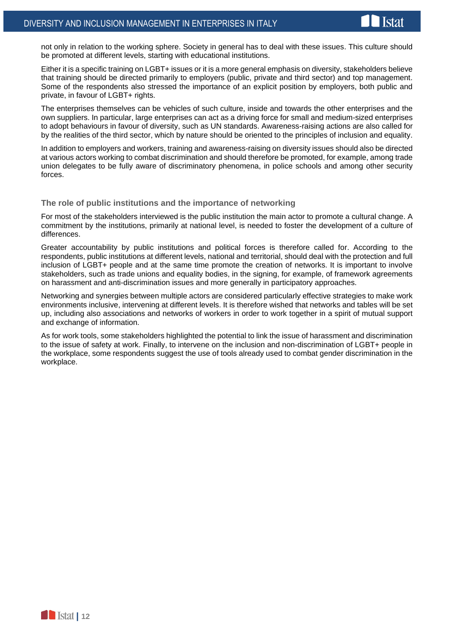not only in relation to the working sphere. Society in general has to deal with these issues. This culture should be promoted at different levels, starting with educational institutions.

Either it is a specific training on LGBT+ issues or it is a more general emphasis on diversity, stakeholders believe that training should be directed primarily to employers (public, private and third sector) and top management. Some of the respondents also stressed the importance of an explicit position by employers, both public and private, in favour of LGBT+ rights.

The enterprises themselves can be vehicles of such culture, inside and towards the other enterprises and the own suppliers. In particular, large enterprises can act as a driving force for small and medium-sized enterprises to adopt behaviours in favour of diversity, such as UN standards. Awareness-raising actions are also called for by the realities of the third sector, which by nature should be oriented to the principles of inclusion and equality.

In addition to employers and workers, training and awareness-raising on diversity issues should also be directed at various actors working to combat discrimination and should therefore be promoted, for example, among trade union delegates to be fully aware of discriminatory phenomena, in police schools and among other security forces.

#### **The role of public institutions and the importance of networking**

For most of the stakeholders interviewed is the public institution the main actor to promote a cultural change. A commitment by the institutions, primarily at national level, is needed to foster the development of a culture of differences.

Greater accountability by public institutions and political forces is therefore called for. According to the respondents, public institutions at different levels, national and territorial, should deal with the protection and full inclusion of LGBT+ people and at the same time promote the creation of networks. It is important to involve stakeholders, such as trade unions and equality bodies, in the signing, for example, of framework agreements on harassment and anti-discrimination issues and more generally in participatory approaches.

Networking and synergies between multiple actors are considered particularly effective strategies to make work environments inclusive, intervening at different levels. It is therefore wished that networks and tables will be set up, including also associations and networks of workers in order to work together in a spirit of mutual support and exchange of information.

As for work tools, some stakeholders highlighted the potential to link the issue of harassment and discrimination to the issue of safety at work. Finally, to intervene on the inclusion and non-discrimination of LGBT+ people in the workplace, some respondents suggest the use of tools already used to combat gender discrimination in the workplace.

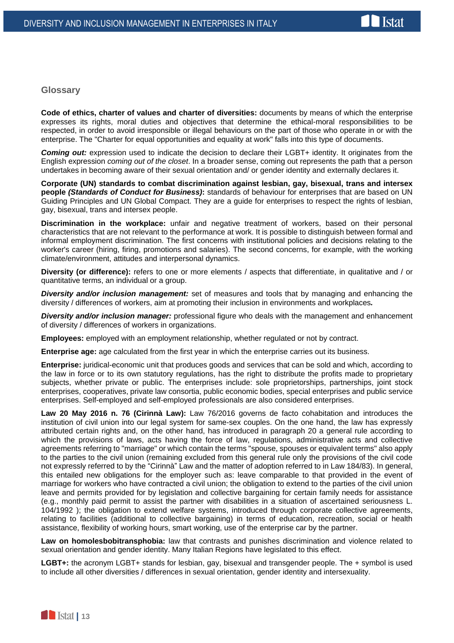

### **Glossary**

**Code of ethics, charter of values and charter of diversities:** documents by means of which the enterprise expresses its rights, moral duties and objectives that determine the ethical-moral responsibilities to be respected, in order to avoid irresponsible or illegal behaviours on the part of those who operate in or with the enterprise. The "Charter for equal opportunities and equality at work" falls into this type of documents.

**Coming out:** expression used to indicate the decision to declare their LGBT+ identity. It originates from the English expression *coming out of the closet*. In a broader sense, coming out represents the path that a person undertakes in becoming aware of their sexual orientation and/ or gender identity and externally declares it.

**Corporate (UN) standards to combat discrimination against lesbian, gay, bisexual, trans and intersex people** *(Standards of Conduct for Business)***:** standards of behaviour for enterprises that are based on UN Guiding Principles and UN Global Compact. They are a guide for enterprises to respect the rights of lesbian, gay, bisexual, trans and intersex people.

**Discrimination in the workplace:** unfair and negative treatment of workers, based on their personal characteristics that are not relevant to the performance at work. It is possible to distinguish between formal and informal employment discrimination. The first concerns with institutional policies and decisions relating to the worker's career (hiring, firing, promotions and salaries). The second concerns, for example, with the working climate/environment, attitudes and interpersonal dynamics.

**Diversity (or difference):** refers to one or more elements / aspects that differentiate, in qualitative and / or quantitative terms, an individual or a group.

*Diversity and/or inclusion management:* set of measures and tools that by managing and enhancing the diversity / differences of workers, aim at promoting their inclusion in environments and workplaces*.*

*Diversity and/or inclusion manager:* professional figure who deals with the management and enhancement of diversity / differences of workers in organizations.

**Employees:** employed with an employment relationship, whether regulated or not by contract.

**Enterprise age:** age calculated from the first year in which the enterprise carries out its business.

**Enterprise:** juridical-economic unit that produces goods and services that can be sold and which, according to the law in force or to its own statutory regulations, has the right to distribute the profits made to proprietary subjects, whether private or public. The enterprises include: sole proprietorships, partnerships, joint stock enterprises, cooperatives, private law consortia, public economic bodies, special enterprises and public service enterprises. Self-employed and self-employed professionals are also considered enterprises.

**Law 20 May 2016 n. 76 (Cirinnà Law):** Law 76/2016 governs de facto cohabitation and introduces the institution of civil union into our legal system for same-sex couples. On the one hand, the law has expressly attributed certain rights and, on the other hand, has introduced in paragraph 20 a general rule according to which the provisions of laws, acts having the force of law, regulations, administrative acts and collective agreements referring to "marriage" or which contain the terms "spouse, spouses or equivalent terms" also apply to the parties to the civil union (remaining excluded from this general rule only the provisions of the civil code not expressly referred to by the "Cirinnà" Law and the matter of adoption referred to in Law 184/83). In general, this entailed new obligations for the employer such as: leave comparable to that provided in the event of marriage for workers who have contracted a civil union; the obligation to extend to the parties of the civil union leave and permits provided for by legislation and collective bargaining for certain family needs for assistance (e.g., monthly paid permit to assist the partner with disabilities in a situation of ascertained seriousness L. 104/1992 ); the obligation to extend welfare systems, introduced through corporate collective agreements, relating to facilities (additional to collective bargaining) in terms of education, recreation, social or health assistance, flexibility of working hours, smart working, use of the enterprise car by the partner.

**Law on homolesbobitransphobia:** law that contrasts and punishes discrimination and violence related to sexual orientation and gender identity. Many Italian Regions have legislated to this effect.

**LGBT+:** the acronym LGBT+ stands for lesbian, gay, bisexual and transgender people. The + symbol is used to include all other diversities / differences in sexual orientation, gender identity and intersexuality.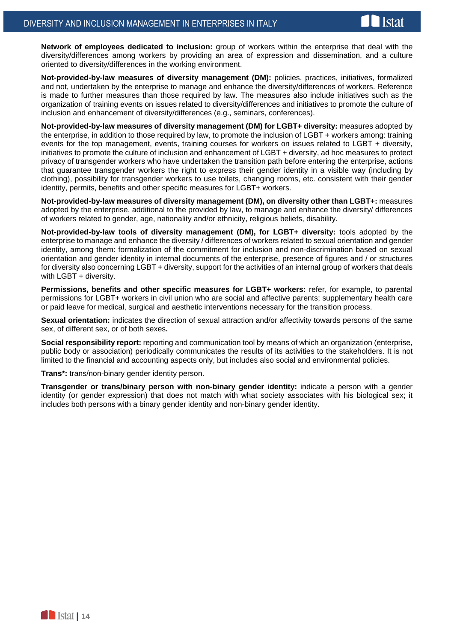

**Network of employees dedicated to inclusion:** group of workers within the enterprise that deal with the diversity/differences among workers by providing an area of expression and dissemination, and a culture oriented to diversity/differences in the working environment.

**Not-provided-by-law measures of diversity management (DM):** policies, practices, initiatives, formalized and not, undertaken by the enterprise to manage and enhance the diversity/differences of workers. Reference is made to further measures than those required by law. The measures also include initiatives such as the organization of training events on issues related to diversity/differences and initiatives to promote the culture of inclusion and enhancement of diversity/differences (e.g., seminars, conferences).

**Not-provided-by-law measures of diversity management (DM) for LGBT+ diversity:** measures adopted by the enterprise, in addition to those required by law, to promote the inclusion of LGBT + workers among: training events for the top management, events, training courses for workers on issues related to LGBT + diversity, initiatives to promote the culture of inclusion and enhancement of LGBT + diversity, ad hoc measures to protect privacy of transgender workers who have undertaken the transition path before entering the enterprise, actions that guarantee transgender workers the right to express their gender identity in a visible way (including by clothing), possibility for transgender workers to use toilets, changing rooms, etc. consistent with their gender identity, permits, benefits and other specific measures for LGBT+ workers.

**Not-provided-by-law measures of diversity management (DM), on diversity other than LGBT+:** measures adopted by the enterprise, additional to the provided by law, to manage and enhance the diversity/ differences of workers related to gender, age, nationality and/or ethnicity, religious beliefs, disability.

**Not-provided-by-law tools of diversity management (DM), for LGBT+ diversity:** tools adopted by the enterprise to manage and enhance the diversity / differences of workers related to sexual orientation and gender identity, among them: formalization of the commitment for inclusion and non-discrimination based on sexual orientation and gender identity in internal documents of the enterprise, presence of figures and / or structures for diversity also concerning LGBT + diversity, support for the activities of an internal group of workers that deals with LGBT + diversity.

**Permissions, benefits and other specific measures for LGBT+ workers:** refer, for example, to parental permissions for LGBT+ workers in civil union who are social and affective parents; supplementary health care or paid leave for medical, surgical and aesthetic interventions necessary for the transition process.

**Sexual orientation:** indicates the direction of sexual attraction and/or affectivity towards persons of the same sex, of different sex, or of both sexes**.**

**Social responsibility report:** reporting and communication tool by means of which an organization (enterprise, public body or association) periodically communicates the results of its activities to the stakeholders. It is not limited to the financial and accounting aspects only, but includes also social and environmental policies.

**Trans\*:** trans/non-binary gender identity person.

**Transgender or trans/binary person with non-binary gender identity:** indicate a person with a gender identity (or gender expression) that does not match with what society associates with his biological sex; it includes both persons with a binary gender identity and non-binary gender identity.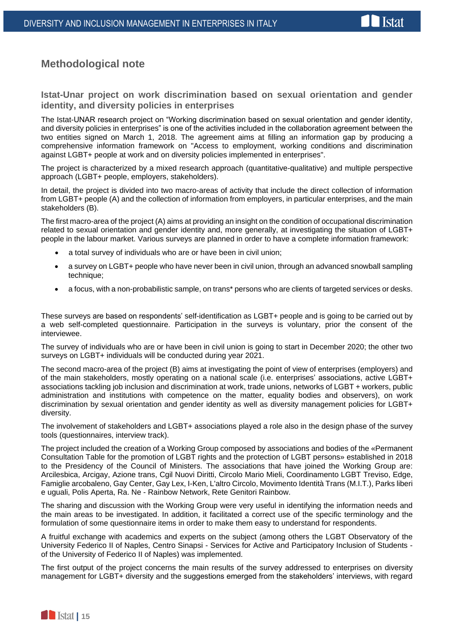

# **Methodological note**

**Istat-Unar project on work discrimination based on sexual orientation and gender identity, and diversity policies in enterprises**

The Istat-UNAR research project on "Working discrimination based on sexual orientation and gender identity, and diversity policies in enterprises" is one of the activities included in the collaboration agreement between the two entities signed on March 1, 2018. The agreement aims at filling an information gap by producing a comprehensive information framework on "Access to employment, working conditions and discrimination against LGBT+ people at work and on diversity policies implemented in enterprises".

The project is characterized by a mixed research approach (quantitative-qualitative) and multiple perspective approach (LGBT+ people, employers, stakeholders).

In detail, the project is divided into two macro-areas of activity that include the direct collection of information from LGBT+ people (A) and the collection of information from employers, in particular enterprises, and the main stakeholders (B).

The first macro-area of the project (A) aims at providing an insight on the condition of occupational discrimination related to sexual orientation and gender identity and, more generally, at investigating the situation of LGBT+ people in the labour market. Various surveys are planned in order to have a complete information framework:

- a total survey of individuals who are or have been in civil union;
- a survey on LGBT+ people who have never been in civil union, through an advanced snowball sampling technique;
- a focus, with a non-probabilistic sample, on trans\* persons who are clients of targeted services or desks.

These surveys are based on respondents' self-identification as LGBT+ people and is going to be carried out by a web self-completed questionnaire. Participation in the surveys is voluntary, prior the consent of the interviewee.

The survey of individuals who are or have been in civil union is going to start in December 2020; the other two surveys on LGBT+ individuals will be conducted during year 2021.

The second macro-area of the project (B) aims at investigating the point of view of enterprises (employers) and of the main stakeholders, mostly operating on a national scale (i.e. enterprises' associations, active LGBT+ associations tackling job inclusion and discrimination at work, trade unions, networks of LGBT + workers, public administration and institutions with competence on the matter, equality bodies and observers), on work discrimination by sexual orientation and gender identity as well as diversity management policies for LGBT+ diversity.

The involvement of stakeholders and LGBT+ associations played a role also in the design phase of the survey tools (questionnaires, interview track).

The project included the creation of a Working Group composed by associations and bodies of the «Permanent Consultation Table for the promotion of LGBT rights and the protection of LGBT persons» established in 2018 to the Presidency of the Council of Ministers. The associations that have joined the Working Group are: Arcilesbica, Arcigay, Azione trans, Cgil Nuovi Diritti, Circolo Mario Mieli, Coordinamento LGBT Treviso, Edge, Famiglie arcobaleno, Gay Center, Gay Lex, I-Ken, L'altro Circolo, Movimento Identità Trans (M.I.T.), Parks liberi e uguali, Polis Aperta, Ra. Ne - Rainbow Network, Rete Genitori Rainbow.

The sharing and discussion with the Working Group were very useful in identifying the information needs and the main areas to be investigated. In addition, it facilitated a correct use of the specific terminology and the formulation of some questionnaire items in order to make them easy to understand for respondents.

A fruitful exchange with academics and experts on the subject (among others the LGBT Observatory of the University Federico II of Naples, Centro Sinapsi - Services for Active and Participatory Inclusion of Students of the University of Federico II of Naples) was implemented.

The first output of the project concerns the main results of the survey addressed to enterprises on diversity management for LGBT+ diversity and the suggestions emerged from the stakeholders' interviews, with regard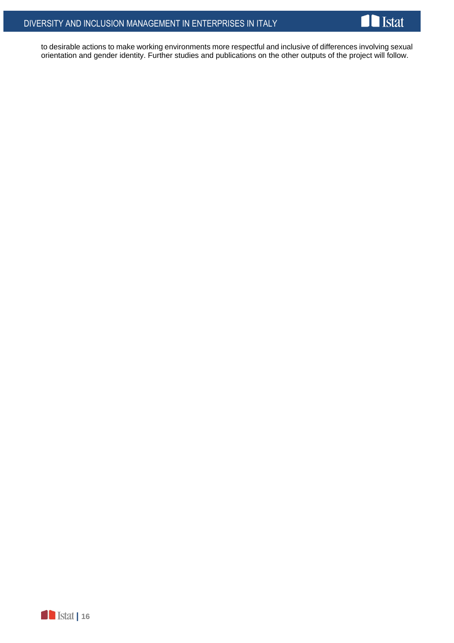

to desirable actions to make working environments more respectful and inclusive of differences involving sexual orientation and gender identity. Further studies and publications on the other outputs of the project will follow.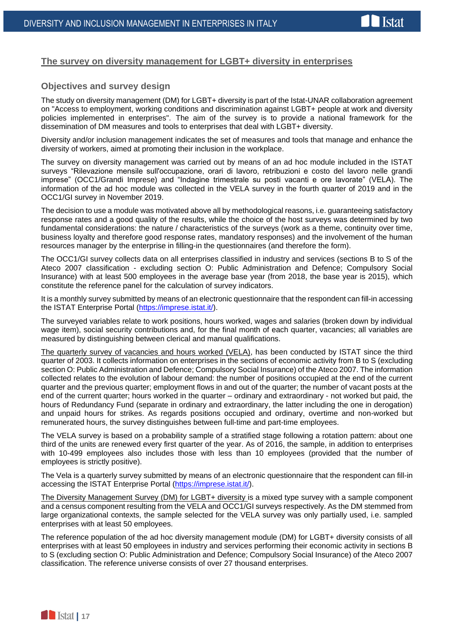### **The survey on diversity management for LGBT+ diversity in enterprises**

### **Objectives and survey design**

The study on diversity management (DM) for LGBT+ diversity is part of the Istat-UNAR collaboration agreement on "Access to employment, working conditions and discrimination against LGBT+ people at work and diversity policies implemented in enterprises". The aim of the survey is to provide a national framework for the dissemination of DM measures and tools to enterprises that deal with LGBT+ diversity.

Diversity and/or inclusion management indicates the set of measures and tools that manage and enhance the diversity of workers, aimed at promoting their inclusion in the workplace.

The survey on diversity management was carried out by means of an ad hoc module included in the ISTAT surveys "Rilevazione mensile sull'occupazione, orari di lavoro, retribuzioni e costo del lavoro nelle grandi imprese" (OCC1/Grandi Imprese) and "Indagine trimestrale su posti vacanti e ore lavorate" (VELA). The information of the ad hoc module was collected in the VELA survey in the fourth quarter of 2019 and in the OCC1/GI survey in November 2019.

The decision to use a module was motivated above all by methodological reasons, i.e. guaranteeing satisfactory response rates and a good quality of the results, while the choice of the host surveys was determined by two fundamental considerations: the nature / characteristics of the surveys (work as a theme, continuity over time, business loyalty and therefore good response rates, mandatory responses) and the involvement of the human resources manager by the enterprise in filling-in the questionnaires (and therefore the form).

The OCC1/GI survey collects data on all enterprises classified in industry and services (sections B to S of the Ateco 2007 classification - excluding section O: Public Administration and Defence; Compulsory Social Insurance) with at least 500 employees in the average base year (from 2018, the base year is 2015), which constitute the reference panel for the calculation of survey indicators.

It is a monthly survey submitted by means of an electronic questionnaire that the respondent can fill-in accessing the ISTAT Enterprise Portal [\(https://imprese.istat.it/\)](https://imprese.istat.it/).

The surveyed variables relate to work positions, hours worked, wages and salaries (broken down by individual wage item), social security contributions and, for the final month of each quarter, vacancies; all variables are measured by distinguishing between clerical and manual qualifications.

The quarterly survey of vacancies and hours worked (VELA), has been conducted by ISTAT since the third quarter of 2003. It collects information on enterprises in the sections of economic activity from B to S (excluding section O: Public Administration and Defence; Compulsory Social Insurance) of the Ateco 2007. The information collected relates to the evolution of labour demand: the number of positions occupied at the end of the current quarter and the previous quarter; employment flows in and out of the quarter; the number of vacant posts at the end of the current quarter; hours worked in the quarter – ordinary and extraordinary - not worked but paid, the hours of Redundancy Fund (separate in ordinary and extraordinary, the latter including the one in derogation) and unpaid hours for strikes. As regards positions occupied and ordinary, overtime and non-worked but remunerated hours, the survey distinguishes between full-time and part-time employees.

The VELA survey is based on a probability sample of a stratified stage following a rotation pattern: about one third of the units are renewed every first quarter of the year. As of 2016, the sample, in addition to enterprises with 10-499 employees also includes those with less than 10 employees (provided that the number of employees is strictly positive).

The Vela is a quarterly survey submitted by means of an electronic questionnaire that the respondent can fill-in accessing the ISTAT Enterprise Portal [\(https://imprese.istat.it/\)](https://imprese.istat.it/).

The Diversity Management Survey (DM) for LGBT+ diversity is a mixed type survey with a sample component and a census component resulting from the VELA and OCC1/GI surveys respectively. As the DM stemmed from large organizational contexts, the sample selected for the VELA survey was only partially used, i.e. sampled enterprises with at least 50 employees.

The reference population of the ad hoc diversity management module (DM) for LGBT+ diversity consists of all enterprises with at least 50 employees in industry and services performing their economic activity in sections B to S (excluding section O: Public Administration and Defence; Compulsory Social Insurance) of the Ateco 2007 classification. The reference universe consists of over 27 thousand enterprises.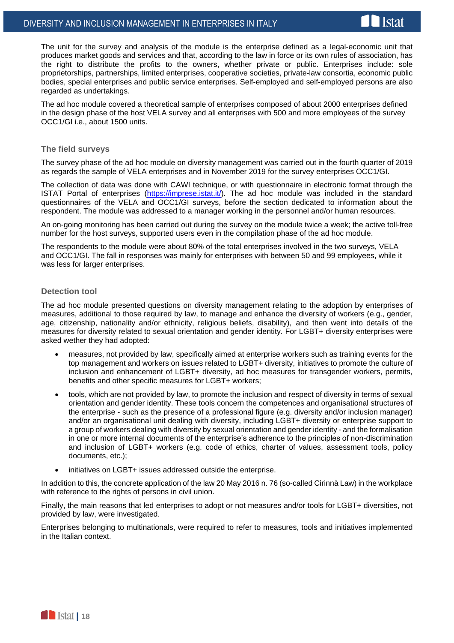

The unit for the survey and analysis of the module is the enterprise defined as a legal-economic unit that produces market goods and services and that, according to the law in force or its own rules of association, has the right to distribute the profits to the owners, whether private or public. Enterprises include: sole proprietorships, partnerships, limited enterprises, cooperative societies, private-law consortia, economic public bodies, special enterprises and public service enterprises. Self-employed and self-employed persons are also regarded as undertakings.

The ad hoc module covered a theoretical sample of enterprises composed of about 2000 enterprises defined in the design phase of the host VELA survey and all enterprises with 500 and more employees of the survey OCC1/GI i.e., about 1500 units.

#### **The field surveys**

The survey phase of the ad hoc module on diversity management was carried out in the fourth quarter of 2019 as regards the sample of VELA enterprises and in November 2019 for the survey enterprises OCC1/GI.

The collection of data was done with CAWI technique, or with questionnaire in electronic format through the ISTAT Portal of enterprises [\(https://imprese.istat.it/\)](https://imprese.istat.it/). The ad hoc module was included in the standard questionnaires of the VELA and OCC1/GI surveys, before the section dedicated to information about the respondent. The module was addressed to a manager working in the personnel and/or human resources.

An on-going monitoring has been carried out during the survey on the module twice a week; the active toll-free number for the host surveys, supported users even in the compilation phase of the ad hoc module.

The respondents to the module were about 80% of the total enterprises involved in the two surveys, VELA and OCC1/GI. The fall in responses was mainly for enterprises with between 50 and 99 employees, while it was less for larger enterprises.

#### **Detection tool**

The ad hoc module presented questions on diversity management relating to the adoption by enterprises of measures, additional to those required by law, to manage and enhance the diversity of workers (e.g., gender, age, citizenship, nationality and/or ethnicity, religious beliefs, disability), and then went into details of the measures for diversity related to sexual orientation and gender identity. For LGBT+ diversity enterprises were asked wether they had adopted:

- measures, not provided by law, specifically aimed at enterprise workers such as training events for the top management and workers on issues related to LGBT+ diversity, initiatives to promote the culture of inclusion and enhancement of LGBT+ diversity, ad hoc measures for transgender workers, permits, benefits and other specific measures for LGBT+ workers;
- tools, which are not provided by law, to promote the inclusion and respect of diversity in terms of sexual orientation and gender identity. These tools concern the competences and organisational structures of the enterprise - such as the presence of a professional figure (e.g. diversity and/or inclusion manager) and/or an organisational unit dealing with diversity, including LGBT+ diversity or enterprise support to a group of workers dealing with diversity by sexual orientation and gender identity - and the formalisation in one or more internal documents of the enterprise's adherence to the principles of non-discrimination and inclusion of LGBT+ workers (e.g. code of ethics, charter of values, assessment tools, policy documents, etc.);
- initiatives on LGBT+ issues addressed outside the enterprise.

In addition to this, the concrete application of the law 20 May 2016 n. 76 (so-called Cirinnà Law) in the workplace with reference to the rights of persons in civil union.

Finally, the main reasons that led enterprises to adopt or not measures and/or tools for LGBT+ diversities, not provided by law, were investigated.

Enterprises belonging to multinationals, were required to refer to measures, tools and initiatives implemented in the Italian context.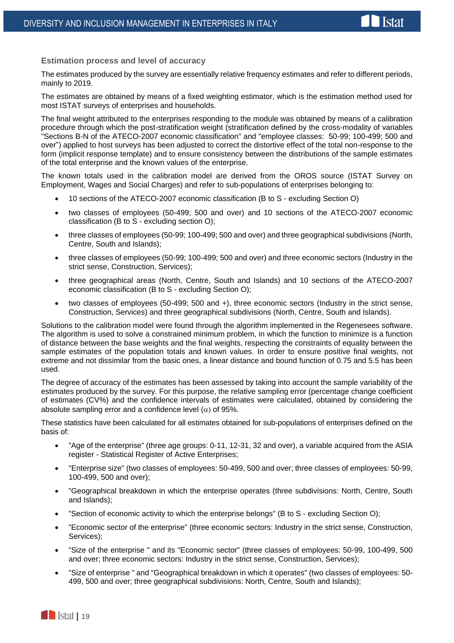

**Estimation process and level of accuracy**

The estimates produced by the survey are essentially relative frequency estimates and refer to different periods, mainly to 2019.

The estimates are obtained by means of a fixed weighting estimator, which is the estimation method used for most ISTAT surveys of enterprises and households.

The final weight attributed to the enterprises responding to the module was obtained by means of a calibration procedure through which the post-stratification weight (stratification defined by the cross-modality of variables "Sections B-N of the ATECO-2007 economic classification" and "employee classes: 50-99; 100-499; 500 and over") applied to host surveys has been adjusted to correct the distortive effect of the total non-response to the form (implicit response template) and to ensure consistency between the distributions of the sample estimates of the total enterprise and the known values of the enterprise.

The known totals used in the calibration model are derived from the OROS source (ISTAT Survey on Employment, Wages and Social Charges) and refer to sub-populations of enterprises belonging to:

- 10 sections of the ATECO-2007 economic classification (B to S excluding Section O)
- two classes of employees (50-499; 500 and over) and 10 sections of the ATECO-2007 economic classification (B to S - excluding section O);
- three classes of employees (50-99; 100-499; 500 and over) and three geographical subdivisions (North, Centre, South and Islands);
- three classes of employees (50-99; 100-499; 500 and over) and three economic sectors (Industry in the strict sense, Construction, Services);
- three geographical areas (North, Centre, South and Islands) and 10 sections of the ATECO-2007 economic classification (B to S - excluding Section O);
- two classes of employees (50-499; 500 and +), three economic sectors (Industry in the strict sense, Construction, Services) and three geographical subdivisions (North, Centre, South and Islands).

Solutions to the calibration model were found through the algorithm implemented in the Regenesees software. The algorithm is used to solve a constrained minimum problem, in which the function to minimize is a function of distance between the base weights and the final weights, respecting the constraints of equality between the sample estimates of the population totals and known values. In order to ensure positive final weights, not extreme and not dissimilar from the basic ones, a linear distance and bound function of 0.75 and 5.5 has been used.

The degree of accuracy of the estimates has been assessed by taking into account the sample variability of the estimates produced by the survey. For this purpose, the relative sampling error (percentage change coefficient of estimates (CV%) and the confidence intervals of estimates were calculated, obtained by considering the absolute sampling error and a confidence level  $(\alpha)$  of 95%.

These statistics have been calculated for all estimates obtained for sub-populations of enterprises defined on the basis of:

- "Age of the enterprise" (three age groups: 0-11, 12-31, 32 and over), a variable acquired from the ASIA register - Statistical Register of Active Enterprises;
- "Enterprise size" (two classes of employees: 50-499, 500 and over; three classes of employees: 50-99, 100-499, 500 and over);
- "Geographical breakdown in which the enterprise operates (three subdivisions: North, Centre, South and Islands);
- "Section of economic activity to which the enterprise belongs" (B to S excluding Section O);
- "Economic sector of the enterprise" (three economic sectors: Industry in the strict sense, Construction, Services);
- "Size of the enterprise " and its "Economic sector" (three classes of employees: 50-99, 100-499, 500 and over; three economic sectors: Industry in the strict sense, Construction, Services);
- "Size of enterprise " and "Geographical breakdown in which it operates" (two classes of employees: 50- 499, 500 and over; three geographical subdivisions: North, Centre, South and Islands);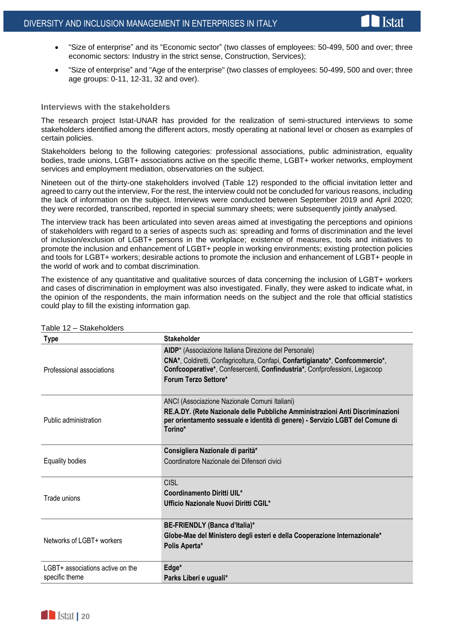- "Size of enterprise" and its "Economic sector" (two classes of employees: 50-499, 500 and over; three economic sectors: Industry in the strict sense, Construction, Services);
- "Size of enterprise" and "Age of the enterprise" (two classes of employees: 50-499, 500 and over; three age groups: 0-11, 12-31, 32 and over).

#### **Interviews with the stakeholders**

The research project Istat-UNAR has provided for the realization of semi-structured interviews to some stakeholders identified among the different actors, mostly operating at national level or chosen as examples of certain policies.

Stakeholders belong to the following categories: professional associations, public administration, equality bodies, trade unions, LGBT+ associations active on the specific theme, LGBT+ worker networks, employment services and employment mediation, observatories on the subject.

Nineteen out of the thirty-one stakeholders involved (Table 12) responded to the official invitation letter and agreed to carry out the interview, For the rest, the interview could not be concluded for various reasons, including the lack of information on the subject. Interviews were conducted between September 2019 and April 2020; they were recorded, transcribed, reported in special summary sheets; were subsequently jointly analysed.

The interview track has been articulated into seven areas aimed at investigating the perceptions and opinions of stakeholders with regard to a series of aspects such as: spreading and forms of discrimination and the level of inclusion/exclusion of LGBT+ persons in the workplace; existence of measures, tools and initiatives to promote the inclusion and enhancement of LGBT+ people in working environments; existing protection policies and tools for LGBT+ workers; desirable actions to promote the inclusion and enhancement of LGBT+ people in the world of work and to combat discrimination.

The existence of any quantitative and qualitative sources of data concerning the inclusion of LGBT+ workers and cases of discrimination in employment was also investigated. Finally, they were asked to indicate what, in the opinion of the respondents, the main information needs on the subject and the role that official statistics could play to fill the existing information gap.

| <b>Type</b>                                        | <b>Stakeholder</b>                                                                                                                                                                                                                           |
|----------------------------------------------------|----------------------------------------------------------------------------------------------------------------------------------------------------------------------------------------------------------------------------------------------|
| Professional associations                          | AIDP* (Associazione Italiana Direzione del Personale)<br>CNA*, Coldiretti, Confagricoltura, Confapi, Confartigianato*, Confcommercio*,<br>Confcooperative*, Confesercenti, Confindustria*, Confprofessioni, Legacoop<br>Forum Terzo Settore* |
| Public administration                              | ANCI (Associazione Nazionale Comuni Italiani)<br>RE.A.DY. (Rete Nazionale delle Pubbliche Amministrazioni Anti Discriminazioni<br>per orientamento sessuale e identità di genere) - Servizio LGBT del Comune di<br>Torino*                   |
| <b>Equality bodies</b>                             | Consigliera Nazionale di parità*<br>Coordinatore Nazionale dei Difensori civici                                                                                                                                                              |
| Trade unions                                       | <b>CISL</b><br>Coordinamento Diritti UIL*<br>Ufficio Nazionale Nuovi Diritti CGIL*                                                                                                                                                           |
| Networks of LGBT+ workers                          | BE-FRIENDLY (Banca d'Italia)*<br>Globe-Mae del Ministero degli esteri e della Cooperazione Internazionale*<br>Polis Aperta*                                                                                                                  |
| LGBT+ associations active on the<br>specific theme | Edge*<br>Parks Liberi e uguali*                                                                                                                                                                                                              |

Table 12 – Stakeholders